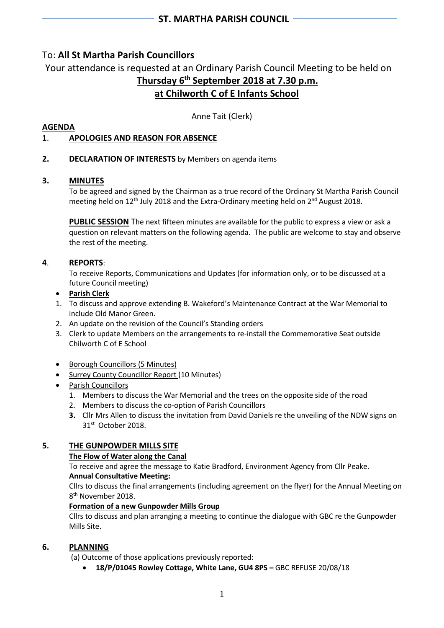# To: **All St Martha Parish Councillors**

Your attendance is requested at an Ordinary Parish Council Meeting to be held on **Thursday 6 th September 2018 at 7.30 p.m. at Chilworth C of E Infants School**

Anne Tait (Clerk)

### **AGENDA**

# **1**. **APOLOGIES AND REASON FOR ABSENCE**

### **2. DECLARATION OF INTERESTS** by Members on agenda items

#### **3. MINUTES**

To be agreed and signed by the Chairman as a true record of the Ordinary St Martha Parish Council meeting held on 12<sup>th</sup> July 2018 and the Extra-Ordinary meeting held on 2<sup>nd</sup> August 2018.

**PUBLIC SESSION** The next fifteen minutes are available for the public to express a view or ask a question on relevant matters on the following agenda. The public are welcome to stay and observe the rest of the meeting.

#### **4**. **REPORTS**:

To receive Reports, Communications and Updates (for information only, or to be discussed at a future Council meeting)

#### • **Parish Clerk**

- 1. To discuss and approve extending B. Wakeford's Maintenance Contract at the War Memorial to include Old Manor Green.
- 2. An update on the revision of the Council's Standing orders
- 3. Clerk to update Members on the arrangements to re-install the Commemorative Seat outside Chilworth C of E School
- Borough Councillors (5 Minutes)
- Surrey County Councillor Report (10 Minutes)
- Parish Councillors
	- 1. Members to discuss the War Memorial and the trees on the opposite side of the road
	- 2. Members to discuss the co-option of Parish Councillors
	- **3.** Cllr Mrs Allen to discuss the invitation from David Daniels re the unveiling of the NDW signs on 31st October 2018.

### **5. THE GUNPOWDER MILLS SITE**

#### **The Flow of Water along the Canal**

To receive and agree the message to Katie Bradford, Environment Agency from Cllr Peake.

#### **Annual Consultative Meeting:**

Cllrs to discuss the final arrangements (including agreement on the flyer) for the Annual Meeting on 8 th November 2018.

#### **Formation of a new Gunpowder Mills Group**

Cllrs to discuss and plan arranging a meeting to continue the dialogue with GBC re the Gunpowder Mills Site.

### **6. PLANNING**

(a) Outcome of those applications previously reported:

• **18/P/01045 Rowley Cottage, White Lane, GU4 8PS –** GBC REFUSE 20/08/18